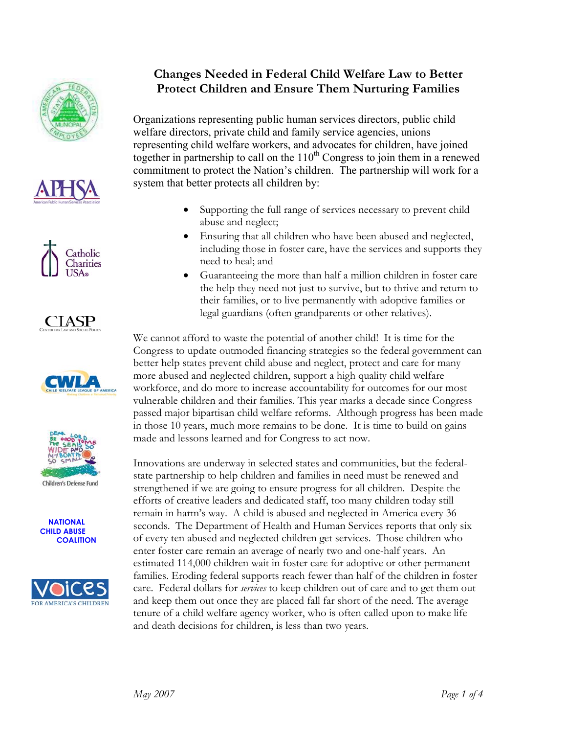











 **NATIONAL CHILD ABUSE COALITION**



## **Changes Needed in Federal Child Welfare Law to Better Protect Children and Ensure Them Nurturing Families**

Organizations representing public human services directors, public child welfare directors, private child and family service agencies, unions representing child welfare workers, and advocates for children, have joined together in partnership to call on the  $110<sup>th</sup>$  Congress to join them in a renewed commitment to protect the Nation's children. The partnership will work for a system that better protects all children by:

- Supporting the full range of services necessary to prevent child abuse and neglect;
- Ensuring that all children who have been abused and neglected, including those in foster care, have the services and supports they need to heal; and
- Guaranteeing the more than half a million children in foster care the help they need not just to survive, but to thrive and return to their families, or to live permanently with adoptive families or legal guardians (often grandparents or other relatives).

We cannot afford to waste the potential of another child! It is time for the Congress to update outmoded financing strategies so the federal government can better help states prevent child abuse and neglect, protect and care for many more abused and neglected children, support a high quality child welfare workforce, and do more to increase accountability for outcomes for our most vulnerable children and their families. This year marks a decade since Congress passed major bipartisan child welfare reforms. Although progress has been made in those 10 years, much more remains to be done. It is time to build on gains made and lessons learned and for Congress to act now.

Innovations are underway in selected states and communities, but the federalstate partnership to help children and families in need must be renewed and strengthened if we are going to ensure progress for all children. Despite the efforts of creative leaders and dedicated staff, too many children today still remain in harm's way. A child is abused and neglected in America every 36 seconds. The Department of Health and Human Services reports that only six of every ten abused and neglected children get services. Those children who enter foster care remain an average of nearly two and one-half years. An estimated 114,000 children wait in foster care for adoptive or other permanent families. Eroding federal supports reach fewer than half of the children in foster care. Federal dollars for *services* to keep children out of care and to get them out and keep them out once they are placed fall far short of the need. The average tenure of a child welfare agency worker, who is often called upon to make life and death decisions for children, is less than two years.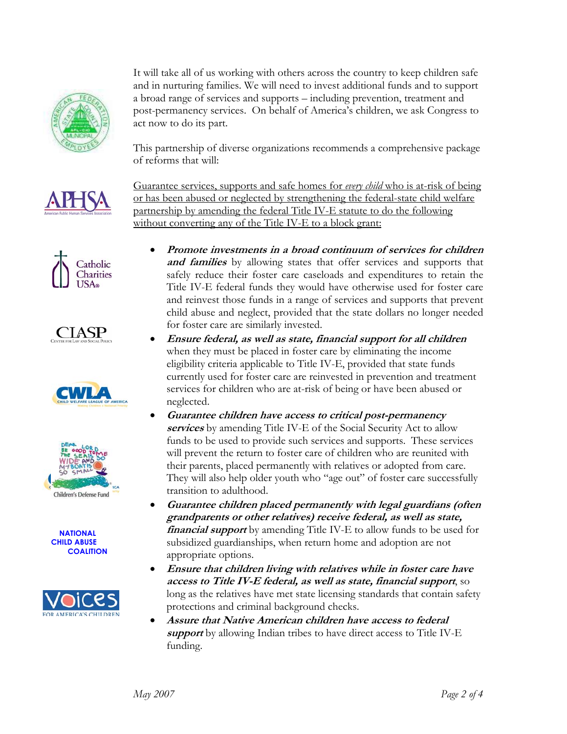

It will take all of us working with others across the country to keep children safe and in nurturing families. We will need to invest additional funds and to support a broad range of services and supports – including prevention, treatment and post-permanency services. On behalf of America's children, we ask Congress to act now to do its part.

This partnership of diverse organizations recommends a comprehensive package of reforms that will:















Guarantee services, supports and safe homes for *every child* who is at-risk of being or has been abused or neglected by strengthening the federal-state child welfare partnership by amending the federal Title IV-E statute to do the following without converting any of the Title IV-E to a block grant:

- **Promote investments in a broad continuum of services for children**  and families by allowing states that offer services and supports that safely reduce their foster care caseloads and expenditures to retain the Title IV-E federal funds they would have otherwise used for foster care and reinvest those funds in a range of services and supports that prevent child abuse and neglect, provided that the state dollars no longer needed for foster care are similarly invested.
- **Ensure federal, as well as state, financial support for all children**  when they must be placed in foster care by eliminating the income eligibility criteria applicable to Title IV-E, provided that state funds currently used for foster care are reinvested in prevention and treatment services for children who are at-risk of being or have been abused or neglected.
- **Guarantee children have access to critical post-permanency services** by amending Title IV-E of the Social Security Act to allow funds to be used to provide such services and supports. These services will prevent the return to foster care of children who are reunited with their parents, placed permanently with relatives or adopted from care. They will also help older youth who "age out" of foster care successfully transition to adulthood.
- **Guarantee children placed permanently with legal guardians (often grandparents or other relatives) receive federal, as well as state, financial support** by amending Title IV-E to allow funds to be used for subsidized guardianships, when return home and adoption are not appropriate options.
- **Ensure that children living with relatives while in foster care have access to Title IV-E federal, as well as state, financial support**, so long as the relatives have met state licensing standards that contain safety protections and criminal background checks.
- **Assure that Native American children have access to federal support** by allowing Indian tribes to have direct access to Title IV-E funding.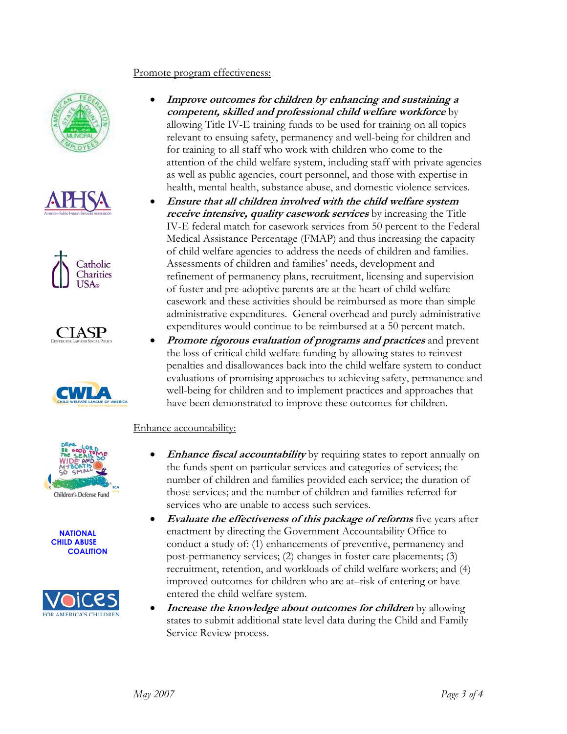## Promote program effectiveness:







**CIASP** 









- **Improve outcomes for children by enhancing and sustaining a competent, skilled and professional child welfare workforce** by allowing Title IV-E training funds to be used for training on all topics relevant to ensuing safety, permanency and well-being for children and for training to all staff who work with children who come to the attention of the child welfare system, including staff with private agencies as well as public agencies, court personnel, and those with expertise in health, mental health, substance abuse, and domestic violence services.
- **Ensure that all children involved with the child welfare system receive intensive, quality casework services** by increasing the Title IV-E federal match for casework services from 50 percent to the Federal Medical Assistance Percentage (FMAP) and thus increasing the capacity of child welfare agencies to address the needs of children and families. Assessments of children and families' needs, development and refinement of permanency plans, recruitment, licensing and supervision of foster and pre-adoptive parents are at the heart of child welfare casework and these activities should be reimbursed as more than simple administrative expenditures. General overhead and purely administrative expenditures would continue to be reimbursed at a 50 percent match.
- **Promote rigorous evaluation of programs and practices** and prevent the loss of critical child welfare funding by allowing states to reinvest penalties and disallowances back into the child welfare system to conduct evaluations of promising approaches to achieving safety, permanence and well-being for children and to implement practices and approaches that have been demonstrated to improve these outcomes for children.

## Enhance accountability:

- **Enhance fiscal accountability** by requiring states to report annually on the funds spent on particular services and categories of services; the number of children and families provided each service; the duration of those services; and the number of children and families referred for services who are unable to access such services.
- **Evaluate the effectiveness of this package of reforms** five years after enactment by directing the Government Accountability Office to conduct a study of: (1) enhancements of preventive, permanency and post-permanency services; (2) changes in foster care placements; (3) recruitment, retention, and workloads of child welfare workers; and (4) improved outcomes for children who are at–risk of entering or have entered the child welfare system.
- **Increase the knowledge about outcomes for children** by allowing states to submit additional state level data during the Child and Family Service Review process.